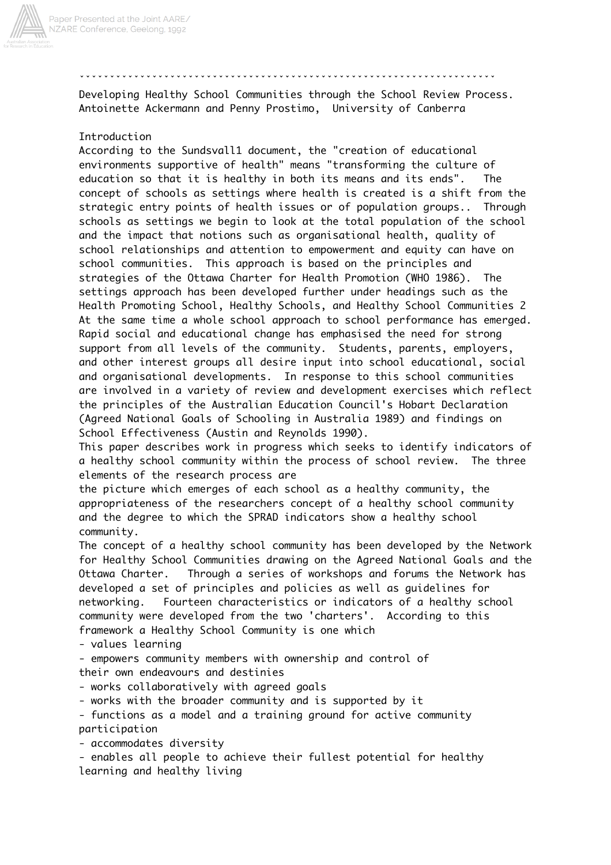

ˇˇˇˇˇˇˇˇˇˇˇˇˇˇˇˇˇˇˇˇˇˇˇˇˇˇˇˇˇˇˇˇˇˇˇˇˇˇˇˇˇˇˇˇˇˇˇˇˇˇˇˇˇˇˇˇˇˇˇˇˇˇˇˇˇˇˇˇˇ

Developing Healthy School Communities through the School Review Process. Antoinette Ackermann and Penny Prostimo, University of Canberra

## Introduction

According to the Sundsvall1 document, the "creation of educational environments supportive of health" means "transforming the culture of education so that it is healthy in both its means and its ends". The concept of schools as settings where health is created is a shift from the strategic entry points of health issues or of population groups.. Through schools as settings we begin to look at the total population of the school and the impact that notions such as organisational health, quality of school relationships and attention to empowerment and equity can have on school communities. This approach is based on the principles and strategies of the Ottawa Charter for Health Promotion (WHO 1986). The settings approach has been developed further under headings such as the Health Promoting School, Healthy Schools, and Healthy School Communities 2 At the same time a whole school approach to school performance has emerged. Rapid social and educational change has emphasised the need for strong support from all levels of the community. Students, parents, employers, and other interest groups all desire input into school educational, social and organisational developments. In response to this school communities are involved in a variety of review and development exercises which reflect the principles of the Australian Education Council's Hobart Declaration (Agreed National Goals of Schooling in Australia 1989) and findings on School Effectiveness (Austin and Reynolds 1990).

This paper describes work in progress which seeks to identify indicators of a healthy school community within the process of school review. The three elements of the research process are

the picture which emerges of each school as a healthy community, the appropriateness of the researchers concept of a healthy school community and the degree to which the SPRAD indicators show a healthy school community.

The concept of a healthy school community has been developed by the Network for Healthy School Communities drawing on the Agreed National Goals and the Ottawa Charter. Through a series of workshops and forums the Network has developed a set of principles and policies as well as guidelines for networking. Fourteen characteristics or indicators of a healthy school community were developed from the two 'charters'. According to this framework a Healthy School Community is one which

- values learning

- empowers community members with ownership and control of their own endeavours and destinies

- works collaboratively with agreed goals

- works with the broader community and is supported by it

- functions as a model and a training ground for active community participation

- accommodates diversity

- enables all people to achieve their fullest potential for healthy learning and healthy living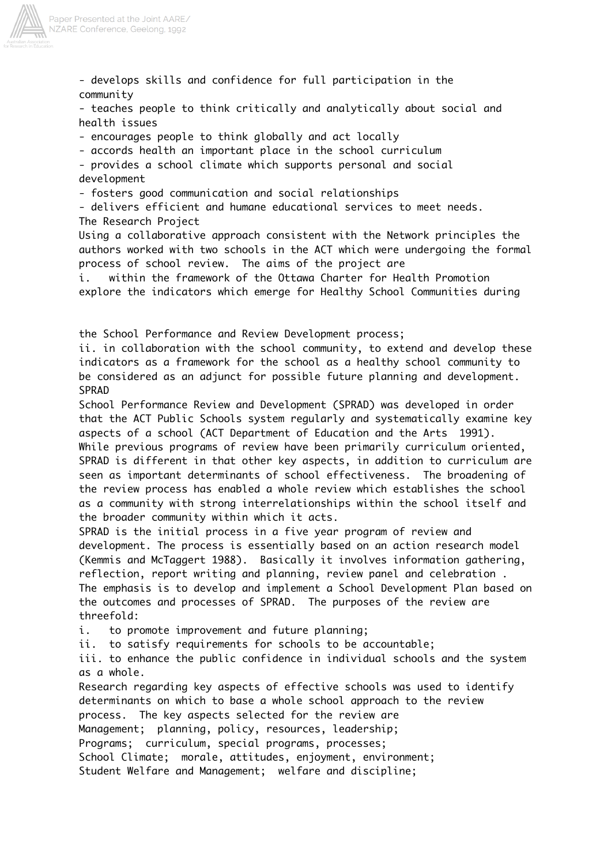

- develops skills and confidence for full participation in the community

- teaches people to think critically and analytically about social and health issues

- encourages people to think globally and act locally

- accords health an important place in the school curriculum

- provides a school climate which supports personal and social development

- fosters good communication and social relationships

- delivers efficient and humane educational services to meet needs. The Research Project

Using a collaborative approach consistent with the Network principles the authors worked with two schools in the ACT which were undergoing the formal process of school review. The aims of the project are

i. within the framework of the Ottawa Charter for Health Promotion explore the indicators which emerge for Healthy School Communities during

the School Performance and Review Development process;

ii. in collaboration with the school community, to extend and develop these indicators as a framework for the school as a healthy school community to be considered as an adjunct for possible future planning and development. SPRAD

School Performance Review and Development (SPRAD) was developed in order that the ACT Public Schools system regularly and systematically examine key aspects of a school (ACT Department of Education and the Arts 1991). While previous programs of review have been primarily curriculum oriented, SPRAD is different in that other key aspects, in addition to curriculum are seen as important determinants of school effectiveness. The broadening of the review process has enabled a whole review which establishes the school as a community with strong interrelationships within the school itself and the broader community within which it acts.

SPRAD is the initial process in a five year program of review and development. The process is essentially based on an action research model (Kemmis and McTaggert 1988). Basically it involves information gathering, reflection, report writing and planning, review panel and celebration . The emphasis is to develop and implement a School Development Plan based on the outcomes and processes of SPRAD. The purposes of the review are threefold:

i. to promote improvement and future planning;

ii. to satisfy requirements for schools to be accountable;

iii. to enhance the public confidence in individual schools and the system as a whole.

Research regarding key aspects of effective schools was used to identify determinants on which to base a whole school approach to the review process. The key aspects selected for the review are Management; planning, policy, resources, leadership; Programs; curriculum, special programs, processes; School Climate; morale, attitudes, enjoyment, environment; Student Welfare and Management; welfare and discipline;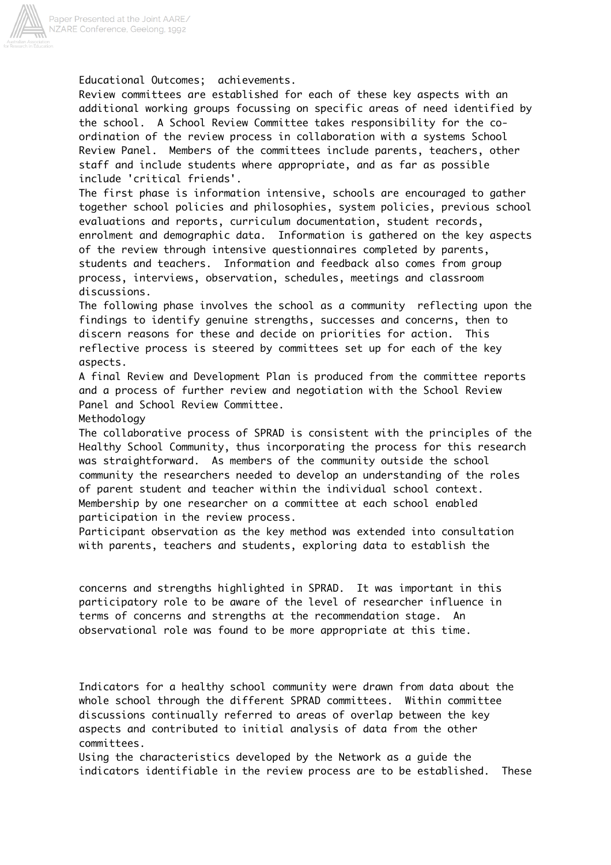

Educational Outcomes; achievements.

Review committees are established for each of these key aspects with an additional working groups focussing on specific areas of need identified by the school. A School Review Committee takes responsibility for the coordination of the review process in collaboration with a systems School Review Panel. Members of the committees include parents, teachers, other staff and include students where appropriate, and as far as possible include 'critical friends'.

The first phase is information intensive, schools are encouraged to gather together school policies and philosophies, system policies, previous school evaluations and reports, curriculum documentation, student records, enrolment and demographic data. Information is gathered on the key aspects of the review through intensive questionnaires completed by parents, students and teachers. Information and feedback also comes from group process, interviews, observation, schedules, meetings and classroom discussions.

The following phase involves the school as a community reflecting upon the findings to identify genuine strengths, successes and concerns, then to discern reasons for these and decide on priorities for action. This reflective process is steered by committees set up for each of the key aspects.

A final Review and Development Plan is produced from the committee reports and a process of further review and negotiation with the School Review Panel and School Review Committee.

Methodology

The collaborative process of SPRAD is consistent with the principles of the Healthy School Community, thus incorporating the process for this research was straightforward. As members of the community outside the school community the researchers needed to develop an understanding of the roles of parent student and teacher within the individual school context. Membership by one researcher on a committee at each school enabled participation in the review process.

Participant observation as the key method was extended into consultation with parents, teachers and students, exploring data to establish the

concerns and strengths highlighted in SPRAD. It was important in this participatory role to be aware of the level of researcher influence in terms of concerns and strengths at the recommendation stage. An observational role was found to be more appropriate at this time.

Indicators for a healthy school community were drawn from data about the whole school through the different SPRAD committees. Within committee discussions continually referred to areas of overlap between the key aspects and contributed to initial analysis of data from the other committees.

Using the characteristics developed by the Network as a guide the indicators identifiable in the review process are to be established. These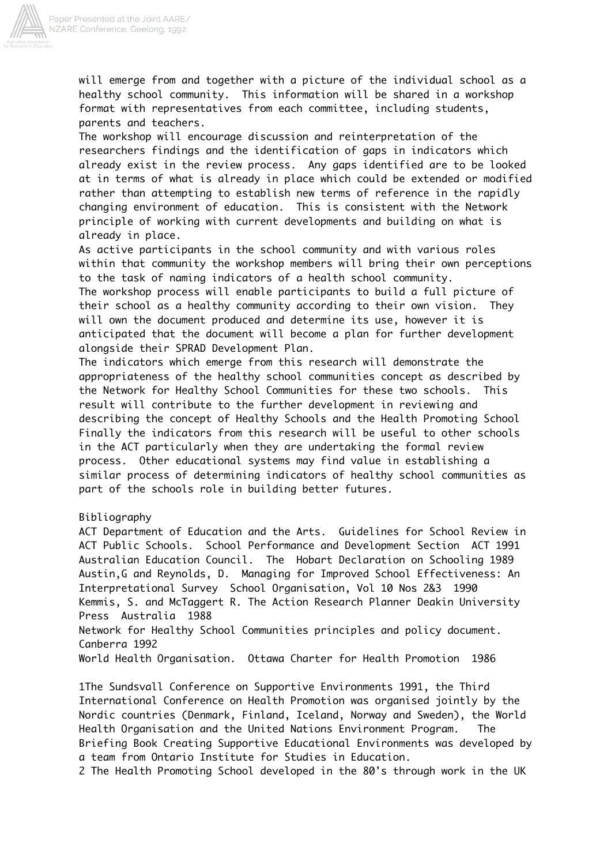

will emerge from and together with a picture of the individual school as a healthy school community. This information will be shared in a workshop format with representatives from each committee, including students, parents and teachers.

The workshop will encourage discussion and reinterpretation of the researchers findings and the identification of gaps in indicators which already exist in the review process. Any gaps identified are to be looked at in terms of what is already in place which could be extended or modified rather than attempting to establish new terms of reference in the rapidly changing environment of education. This is consistent with the Network principle of working with current developments and building on what is already in place.

As active participants in the school community and with various roles within that community the workshop members will bring their own perceptions to the task of naming indicators of a health school community. The workshop process will enable participants to build a full picture of their school as a healthy community according to their own vision. They will own the document produced and determine its use, however it is anticipated that the document will become a plan for further development alongside their SPRAD Development Plan.

The indicators which emerge from this research will demonstrate the appropriateness of the healthy school communities concept as described by the Network for Healthy School Communities for these two schools. This result will contribute to the further development in reviewing and describing the concept of Healthy Schools and the Health Promoting School Finally the indicators from this research will be useful to other schools in the ACT particularly when they are undertaking the formal review process. Other educational systems may find value in establishing a similar process of determining indicators of healthy school communities as part of the schools role in building better futures.

## Bibliography

ACT Department of Education and the Arts. Guidelines for School Review in ACT Public Schools. School Performance and Development Section ACT 1991 Australian Education Council. The Hobart Declaration on Schooling 1989 Austin,G and Reynolds, D. Managing for Improved School Effectiveness: An Interpretational Survey School Organisation, Vol 10 Nos 2&3 1990 Kemmis, S. and McTaggert R. The Action Research Planner Deakin University Press Australia 1988

Network for Healthy School Communities principles and policy document. Canberra 1992

World Health Organisation. Ottawa Charter for Health Promotion 1986

1The Sundsvall Conference on Supportive Environments 1991, the Third International Conference on Health Promotion was organised jointly by the Nordic countries (Denmark, Finland, Iceland, Norway and Sweden), the World Health Organisation and the United Nations Environment Program. The Briefing Book Creating Supportive Educational Environments was developed by a team from Ontario Institute for Studies in Education.

2 The Health Promoting School developed in the 80's through work in the UK